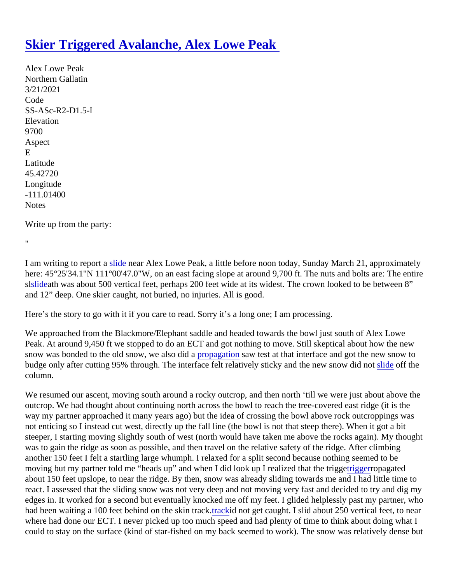## [Skier Triggered Avalanche, Alex Lowe Peak](https://www.mtavalanche.com/node/24673)

Alex Lowe Peak Northern Gallatin 3/21/2021 Code SS-ASc-R2-D1.5-I **Elevation** 9700 Aspect E Latitude 45.42720 Longitude -111.01400 **Notes** 

Write up from the party:

 $\mathbf{u}$ 

I am writing to report a lide near Alex Lowe Peak, a little before noon today, Sunday March 21, approximately here: 45°25'34.1"N 111°00'47.0"W, on an east facing slope at around 9,700 ft. The nuts and bolts are: The entire s[lslidea](https://www.mtavalanche.com/taxonomy/term/305)th was about 500 vertical feet, perhaps 200 feet wide at its widest. The crown looked to be between 8" and 12" deep. One skier caught, not buried, no injuries. All is good.

Here's the story to go with it if you care to read. Sorry it's a long one; I am processing.

We approached from the Blackmore/Elephant saddle and headed towards the bowl just south of Alex Lowe Peak. At around 9,450 ft we stopped to do an ECT and got nothing to move. Still skeptical about how the new snow was bonded to the old snow, we also did agation saw test at that interface and got the new snow to budge only after cutting 95% through. The interface felt relatively sticky and the new snow [slide](https://www.mtavalanche.com/taxonomy/term/305) off the column.

We resumed our ascent, moving south around a rocky outcrop, and then north 'till we were just about above the outcrop. We had thought about continuing north across the bowl to reach the tree-covered east ridge (it is the way my partner approached it many years ago) but the idea of crossing the bowl above rock outcroppings was not enticing so I instead cut west, directly up the fall line (the bowl is not that steep there). When it got a bit steeper, I starting moving slightly south of west (north would have taken me above the rocks again). My though was to gain the ridge as soon as possible, and then travel on the relative safety of the ridge. After climbing another 150 feet I felt a startling large whumph. I relaxed for a split second because nothing seemed to be moving but my partner told me "heads up" and when I did look up I realized that th[e trigge](https://www.mtavalanche.com/taxonomy/term/319)rropagated about 150 feet upslope, to near the ridge. By then, snow was already sliding towards me and I had little time t react. I assessed that the sliding snow was not very deep and not moving very fast and decided to try and dig edges in. It worked for a second but eventually knocked me off my feet. I glided helplessly past my partner, w had been waiting a 100 feet behind on the skin thackid not get caught. I slid about 250 vertical feet, to near where had done our ECT. I never picked up too much speed and had plenty of time to think about doing what could to stay on the surface (kind of star-fished on my back seemed to work). The snow was relatively dense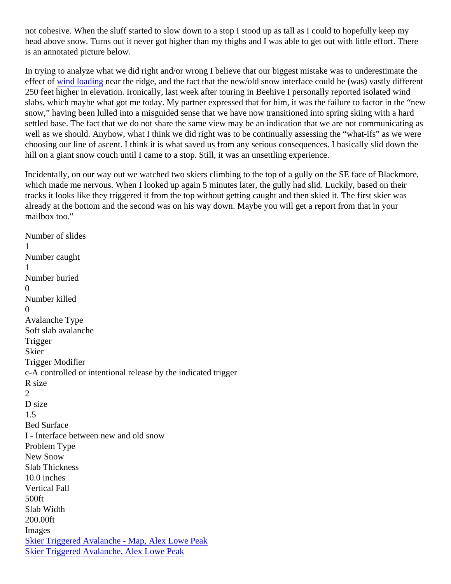not cohesive. When the sluff started to slow down to a stop I stood up as tall as I could to hopefully keep my head above snow. Turns out it never got higher than my thighs and I was able to get out with little effort. Ther is an annotated picture below.

In trying to analyze what we did right and/or wrong I believe that our biggest mistake was to underestimate th effect of [wind loading](https://www.mtavalanche.com/taxonomy/term/325) near the ridge, and the fact that the new/old snow interface could be (was) vastly different 250 feet higher in elevation. Ironically, last week after touring in Beehive I personally reported isolated wind slabs, which maybe what got me today. My partner expressed that for him, it was the failure to factor in the "n snow," having been lulled into a misguided sense that we have now transitioned into spring skiing with a hard settled base. The fact that we do not share the same view may be an indication that we are not communicating well as we should. Anyhow, what I think we did right was to be continually assessing the "what-ifs" as we were choosing our line of ascent. I think it is what saved us from any serious consequences. I basically slid down th hill on a giant snow couch until I came to a stop. Still, it was an unsettling experience.

Incidentally, on our way out we watched two skiers climbing to the top of a gully on the SE face of Blackmore which made me nervous. When I looked up again 5 minutes later, the gully had slid. Luckily, based on their tracks it looks like they triggered it from the top without getting caught and then skied it. The first skier was already at the bottom and the second was on his way down. Maybe you will get a report from that in your mailbox too."

Number of slides 1 Number caught 1 Number buried 0 Number killed  $\Omega$ Avalanche Type Soft slab avalanche **Trigger Skier** Trigger Modifier c-A controlled or intentional release by the indicated trigger R size 2 D size 1.5 Bed Surface I - Interface between new and old snow Problem Type New Snow Slab Thickness 10.0 inches Vertical Fall 500ft Slab Width 200.00ft Images [Skier Triggered Avalanche - Map, Alex Lowe P](https://www.mtavalanche.com/images/21/skier-triggered-avalanche-map-alex-lowe-peak)eak [Skier Triggered Avalanche, Alex Lowe Pe](https://www.mtavalanche.com/images/21/skier-triggered-avalanche-alex-lowe-peak)ak